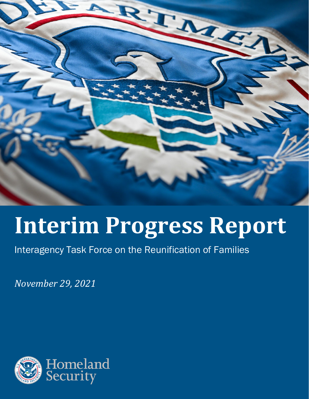

# **Interim Progress Report**

Interagency Task Force on the Reunification of Families

*November 29, 2021*

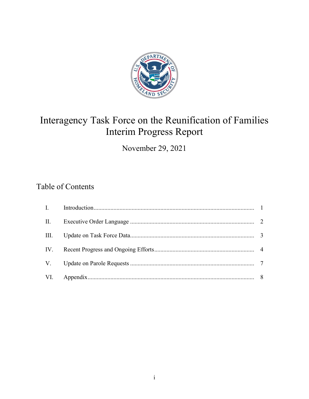

## Interagency Task Force on the Reunification of Families Interim Progress Report

November 29, 2021

#### Table of Contents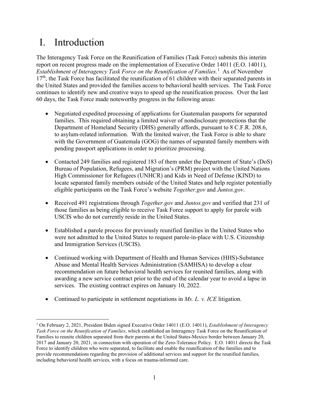## I. Introduction

The Interagency Task Force on the Reunification of Families (Task Force) submits this interim report on recent progress made on the implementation of Executive Order 14011 (E.O. 14011), *Establishment of Interagency Task Force on the Reunification of Families.*[1](#page-2-0) As of November  $17<sup>th</sup>$ , the Task Force has facilitated the reunification of 61 children with their separated parents in the United States and provided the families access to behavioral health services. The Task Force continues to identify new and creative ways to speed up the reunification process. Over the last 60 days, the Task Force made noteworthy progress in the following areas:

- Negotiated expedited processing of applications for Guatemalan passports for separated families. This required obtaining a limited waiver of nondisclosure protections that the Department of Homeland Security (DHS) generally affords, pursuant to 8 C.F.R. 208.6, to asylum-related information. With the limited waiver, the Task Force is able to share with the Government of Guatemala (GOG) the names of separated family members with pending passport applications in order to prioritize processing.
- Contacted 249 families and registered 183 of them under the Department of State's (DoS) Bureau of Population, Refugees, and Migration's (PRM) project with the United Nations High Commissioner for Refugees (UNHCR) and Kids in Need of Defense (KIND) to locate separated family members outside of the United States and help register potentially eligible participants on the Task Force's website *Together.gov* and *Juntos.gov*.
- Received 491 registrations through *Together.gov* and *Juntos.gov* and verified that 231 of those families as being eligible to receive Task Force support to apply for parole with USCIS who do not currently reside in the United States.
- Established a parole process for previously reunified families in the United States who were not admitted to the United States to request parole-in-place with U.S. Citizenship and Immigration Services (USCIS).
- Continued working with Department of Health and Human Services (HHS)-Substance Abuse and Mental Health Services Administration (SAMHSA) to develop a clear recommendation on future behavioral health services for reunited families, along with awarding a new service contract prior to the end of the calendar year to avoid a lapse in services. The existing contract expires on January 10, 2022.
- Continued to participate in settlement negotiations in *Ms. L. v. ICE* litigation.

<span id="page-2-0"></span><sup>1</sup> On February 2, 2021, President Biden signed Executive Order 14011 (E.O. 14011), *Establishment of Interagency Task Force on the Reunification of Families*, which established an Interagency Task Force on the Reunification of Families to reunite children separated from their parents at the United States-Mexico border between January 20, 2017 and January 20, 2021, in connection with operation of the Zero-Tolerance Policy. E.O. 14011 directs the Task Force to identify children who were separated, to facilitate and enable the reunification of the families and to provide recommendations regarding the provision of additional services and support for the reunified families, including behavioral health services, with a focus on trauma-informed care.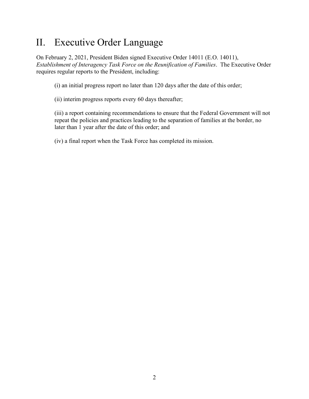## II. Executive Order Language

On February 2, 2021, President Biden signed Executive Order 14011 (E.O. 14011), *Establishment of Interagency Task Force on the Reunification of Families*. The Executive Order requires regular reports to the President, including:

(i) an initial progress report no later than 120 days after the date of this order;

(ii) interim progress reports every 60 days thereafter;

(iii) a report containing recommendations to ensure that the Federal Government will not repeat the policies and practices leading to the separation of families at the border, no later than 1 year after the date of this order; and

(iv) a final report when the Task Force has completed its mission.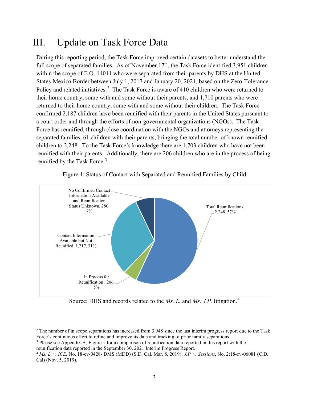### III. Update on Task Force Data

During this reporting period, the Task Force improved certain datasets to better understand the full scope of separated families. As of November  $17<sup>th</sup>$ , the Task Force identified 3,951 children within the scope of E.O. 14011 who were separated from their parents by DHS at the United States-Mexico Border between July 1, 2017 and January 20, 2021, based on the Zero-Tolerance Policy and related initiatives.<sup>[2](#page-4-0)</sup> The Task Force is aware of 410 children who were returned to their home country, some with and some without their parents, and 1,710 parents who were returned to their home country, some with and some without their children. The Task Force confirmed 2,187 children have been reunified with their parents in the United States pursuant to a court order and through the efforts of non-governmental organizations (NGOs). The Task Force has reunified, through close coordination with the NGOs and attorneys representing the separated families, 61 children with their parents, bringing the total number of known reunified children to 2,248. To the Task Force's knowledge there are 1,703 children who have not been reunified with their parents. Additionally, there are 206 children who are in the process of being reunified by the Task Force.<sup>[3](#page-4-1)</sup>



Figure 1: Status of Contact with Separated and Reunified Families by Child

Source: DHS and records related to the *Ms. L.* and *Ms. J.P.* litigation.[4](#page-4-2)

<span id="page-4-0"></span><sup>&</sup>lt;sup>2</sup> The number of in scope separations has increased from 3,948 since the last interim progress report due to the Task Force's continuous effort to refine and improve its data and tracking of prior family separations.

<span id="page-4-1"></span><sup>3</sup> Please see Appendix A, Figure 1 for a comparison of reunification data reported in this report with the reunification data reported in the September 30, 2021 Interim Progress Report.

<span id="page-4-2"></span><sup>4</sup> *Ms. L. v. ICE,* No. 18-cv-0428- DMS (MDD) (S.D. Cal. Mar. 8, 2019); *J.P. v. Sessions*, No. 2:18-cv-06081 (C.D. Cal) (Nov. 5, 2019).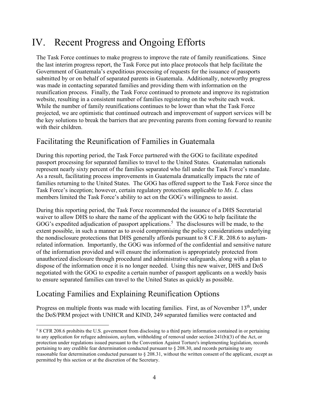## IV. Recent Progress and Ongoing Efforts

The Task Force continues to make progress to improve the rate of family reunifications. Since the last interim progress report, the Task Force put into place protocols that help facilitate the Government of Guatemala's expeditious processing of requests for the issuance of passports submitted by or on behalf of separated parents in Guatemala. Additionally, noteworthy progress was made in contacting separated families and providing them with information on the reunification process. Finally, the Task Force continued to promote and improve its registration website, resulting in a consistent number of families registering on the website each week. While the number of family reunifications continues to be lower than what the Task Force projected, we are optimistic that continued outreach and improvement of support services will be the key solutions to break the barriers that are preventing parents from coming forward to reunite with their children.

#### Facilitating the Reunification of Families in Guatemala

During this reporting period, the Task Force partnered with the GOG to facilitate expedited passport processing for separated families to travel to the United States. Guatemalan nationals represent nearly sixty percent of the families separated who fall under the Task Force's mandate. As a result, facilitating process improvements in Guatemala dramatically impacts the rate of families returning to the United States. The GOG has offered support to the Task Force since the Task Force's inception; however, certain regulatory protections applicable to *Ms. L.* class members limited the Task Force's ability to act on the GOG's willingness to assist.

During this reporting period, the Task Force recommended the issuance of a DHS Secretarial waiver to allow DHS to share the name of the applicant with the GOG to help facilitate the GOG's expedited adjudication of passport applications.<sup>[5](#page-5-0)</sup> The disclosures will be made, to the extent possible, in such a manner as to avoid compromising the policy considerations underlying the nondisclosure protections that DHS generally affords pursuant to 8 C.F.R. 208.6 to asylumrelated information. Importantly, the GOG was informed of the confidential and sensitive nature of the information provided and will ensure the information is appropriately protected from unauthorized disclosure through procedural and administrative safeguards, along with a plan to dispose of the information once it is no longer needed. Using this new waiver, DHS and DoS negotiated with the GOG to expedite a certain number of passport applicants on a weekly basis to ensure separated families can travel to the United States as quickly as possible.

#### Locating Families and Explaining Reunification Options

Progress on multiple fronts was made with locating families. First, as of November 13<sup>th</sup>, under the DoS/PRM project with UNHCR and KIND, 249 separated families were contacted and

<span id="page-5-0"></span><sup>5</sup> 8 CFR 208.6 prohibits the U.S. government from disclosing to a third party information contained in or pertaining to any application for refugee admission, asylum, withholding of removal under section 241(b)(3) of the Act, or protection under regulations issued pursuant to the Convention Against Torture's implementing legislation, records pertaining to any credible fear determination conducted pursuant to § 208.30, and records pertaining to any reasonable fear determination conducted pursuant to § 208.31, without the written consent of the applicant, except as permitted by this section or at the discretion of the Secretary.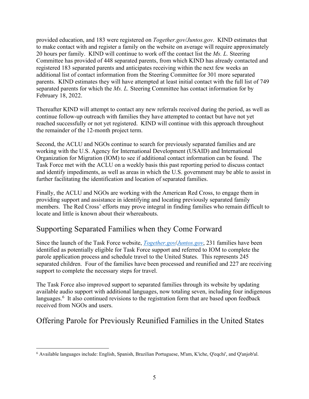provided education, and 183 were registered on *Together.gov/Juntos.gov*. KIND estimates that to make contact with and register a family on the website on average will require approximately 20 hours per family. KIND will continue to work off the contact list the *Ms. L.* Steering Committee has provided of 448 separated parents, from which KIND has already contacted and registered 183 separated parents and anticipates receiving within the next few weeks an additional list of contact information from the Steering Committee for 301 more separated parents. KIND estimates they will have attempted at least initial contact with the full list of 749 separated parents for which the *Ms. L.* Steering Committee has contact information for by February 18, 2022.

Thereafter KIND will attempt to contact any new referrals received during the period, as well as continue follow-up outreach with families they have attempted to contact but have not yet reached successfully or not yet registered. KIND will continue with this approach throughout the remainder of the 12-month project term.

Second, the ACLU and NGOs continue to search for previously separated families and are working with the U.S. Agency for International Development (USAID) and International Organization for Migration (IOM) to see if additional contact information can be found. The Task Force met with the ACLU on a weekly basis this past reporting period to discuss contact and identify impediments, as well as areas in which the U.S. government may be able to assist in further facilitating the identification and location of separated families.

Finally, the ACLU and NGOs are working with the American Red Cross, to engage them in providing support and assistance in identifying and locating previously separated family members. The Red Cross' efforts may prove integral in finding families who remain difficult to locate and little is known about their whereabouts.

#### Supporting Separated Families when they Come Forward

Since the launch of the Task Force website, *[Together.gov](https://gcc02.safelinks.protection.outlook.com/?url=https%3A%2F%2Flnks.gd%2Fl%2FeyJhbGciOiJIUzI1NiJ9.eyJidWxsZXRpbl9saW5rX2lkIjoxMDAsInVyaSI6ImJwMjpjbGljayIsImJ1bGxldGluX2lkIjoiMjAyMTA5MTMuNDU4NzU5NjEiLCJ1cmwiOiJodHRwczovL3d3dy50b2dldGhlci5nb3YvIn0.giNduTliafSxFNBeU9YR9y18DZTG_Oafy9h_egHqAlw%2Fs%2F1014432588%2Fbr%2F112299418794-l&data=04%7C01%7Cjoseph.r.schoser%40uscis.dhs.gov%7Cb17303c61cc4465772a908d9770a613e%7C5e41ee740d2d4a728975998ce83205eb%7C0%7C0%7C637671708740552389%7CUnknown%7CTWFpbGZsb3d8eyJWIjoiMC4wLjAwMDAiLCJQIjoiV2luMzIiLCJBTiI6Ik1haWwiLCJXVCI6Mn0%3D%7C1000&sdata=AjZKHeR0xXnTfvaS1QbMLSAnKj8sw1%2FAdAiubU%2BDD7I%3D&reserved=0)*/*[Juntos.gov](https://gcc02.safelinks.protection.outlook.com/?url=https%3A%2F%2Flnks.gd%2Fl%2FeyJhbGciOiJIUzI1NiJ9.eyJidWxsZXRpbl9saW5rX2lkIjoxMDEsInVyaSI6ImJwMjpjbGljayIsImJ1bGxldGluX2lkIjoiMjAyMTA5MTMuNDU4NzU5NjEiLCJ1cmwiOiJodHRwczovL3d3dy5qdW50b3MuZ292L2VzIn0.LSH4_5oV_oFABT3CCDUY_O3G8OV_5lrov-CdAH-TvDQ%2Fs%2F1014432588%2Fbr%2F112299418794-l&data=04%7C01%7Cjoseph.r.schoser%40uscis.dhs.gov%7Cb17303c61cc4465772a908d9770a613e%7C5e41ee740d2d4a728975998ce83205eb%7C0%7C0%7C637671708740562349%7CUnknown%7CTWFpbGZsb3d8eyJWIjoiMC4wLjAwMDAiLCJQIjoiV2luMzIiLCJBTiI6Ik1haWwiLCJXVCI6Mn0%3D%7C1000&sdata=Z1m%2FIZYjTTp1971p%2B5VSNFN0WqspI8i5llEqkUAhgW0%3D&reserved=0)*, 231 families have been identified as potentially eligible for Task Force support and referred to IOM to complete the parole application process and schedule travel to the United States. This represents 245 separated children. Four of the families have been processed and reunified and 227 are receiving support to complete the necessary steps for travel.

The Task Force also improved support to separated families through its website by updating available audio support with additional languages, now totaling seven, including four indigenous languages.<sup>[6](#page-6-0)</sup> It also continued revisions to the registration form that are based upon feedback received from NGOs and users.

#### Offering Parole for Previously Reunified Families in the United States

<span id="page-6-0"></span><sup>6</sup> Available languages include: English, Spanish, Brazilian Portuguese, M'am, K'iche, Q'eqchi', and Q'anjob'al.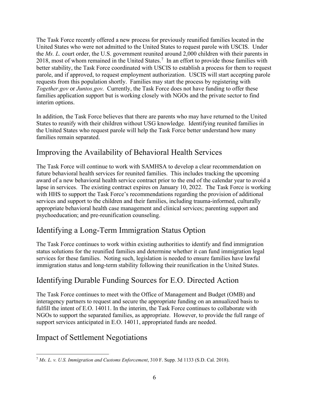The Task Force recently offered a new process for previously reunified families located in the United States who were not admitted to the United States to request parole with USCIS. Under the *Ms. L.* court order, the U.S. government reunited around 2,000 children with their parents in 2018, most of whom remained in the United States.<sup>[7](#page-7-0)</sup> In an effort to provide those families with better stability, the Task Force coordinated with USCIS to establish a process for them to request parole, and if approved, to request employment authorization. USCIS will start accepting parole requests from this population shortly. Families may start the process by registering with *Together.gov* or *Juntos.gov.* Currently, the Task Force does not have funding to offer these families application support but is working closely with NGOs and the private sector to find interim options.

In addition, the Task Force believes that there are parents who may have returned to the United States to reunify with their children without USG knowledge. Identifying reunited families in the United States who request parole will help the Task Force better understand how many families remain separated.

#### Improving the Availability of Behavioral Health Services

The Task Force will continue to work with SAMHSA to develop a clear recommendation on future behavioral health services for reunited families. This includes tracking the upcoming award of a new behavioral health service contract prior to the end of the calendar year to avoid a lapse in services. The existing contract expires on January 10, 2022. The Task Force is working with HHS to support the Task Force's recommendations regarding the provision of additional services and support to the children and their families, including trauma-informed, culturally appropriate behavioral health case management and clinical services; parenting support and psychoeducation; and pre-reunification counseling.

#### Identifying a Long-Term Immigration Status Option

The Task Force continues to work within existing authorities to identify and find immigration status solutions for the reunified families and determine whether it can fund immigration legal services for these families. Noting such, legislation is needed to ensure families have lawful immigration status and long-term stability following their reunification in the United States.

#### Identifying Durable Funding Sources for E.O. Directed Action

The Task Force continues to meet with the Office of Management and Budget (OMB) and interagency partners to request and secure the appropriate funding on an annualized basis to fulfill the intent of E.O. 14011. In the interim, the Task Force continues to collaborate with NGOs to support the separated families, as appropriate. However, to provide the full range of support services anticipated in E.O. 14011, appropriated funds are needed.

#### Impact of Settlement Negotiations

<span id="page-7-0"></span><sup>7</sup> *Ms. L. v. U.S. Immigration and Customs Enforcement*, 310 F. Supp. 3d 1133 (S.D. Cal. 2018).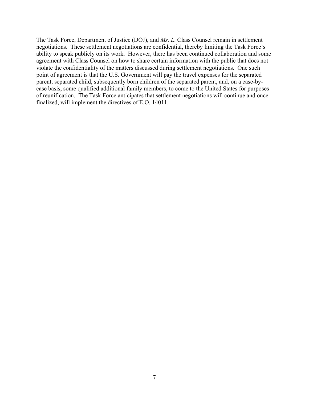The Task Force, Department of Justice (DOJ), and *Ms. L*. Class Counsel remain in settlement negotiations. These settlement negotiations are confidential, thereby limiting the Task Force's ability to speak publicly on its work. However, there has been continued collaboration and some agreement with Class Counsel on how to share certain information with the public that does not violate the confidentiality of the matters discussed during settlement negotiations. One such point of agreement is that the U.S. Government will pay the travel expenses for the separated parent, separated child, subsequently born children of the separated parent, and, on a case-bycase basis, some qualified additional family members, to come to the United States for purposes of reunification. The Task Force anticipates that settlement negotiations will continue and once finalized, will implement the directives of E.O. 14011.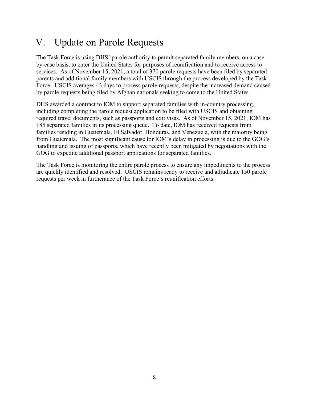## V. Update on Parole Requests

The Task Force is using DHS' parole authority to permit separated family members, on a caseby-case basis, to enter the United States for purposes of reunification and to receive access to services. As of November 15, 2021, a total of 370 parole requests have been filed by separated parents and additional family members with USCIS through the process developed by the Task Force. USCIS averages 43 days to process parole requests, despite the increased demand caused by parole requests being filed by Afghan nationals seeking to come to the United States.

DHS awarded a contract to IOM to support separated families with in-country processing, including completing the parole request application to be filed with USCIS and obtaining required travel documents, such as passports and exit visas. As of November 15, 2021, IOM has 185 separated families in its processing queue. To date, IOM has received requests from families residing in Guatemala, El Salvador, Honduras, and Venezuela, with the majority being from Guatemala. The most significant cause for IOM's delay in processing is due to the GOG's handling and issuing of passports, which have recently been mitigated by negotiations with the GOG to expedite additional passport applications for separated families.

The Task Force is monitoring the entire parole process to ensure any impediments to the process are quickly identified and resolved. USCIS remains ready to receive and adjudicate 150 parole requests per week in furtherance of the Task Force's reunification efforts.